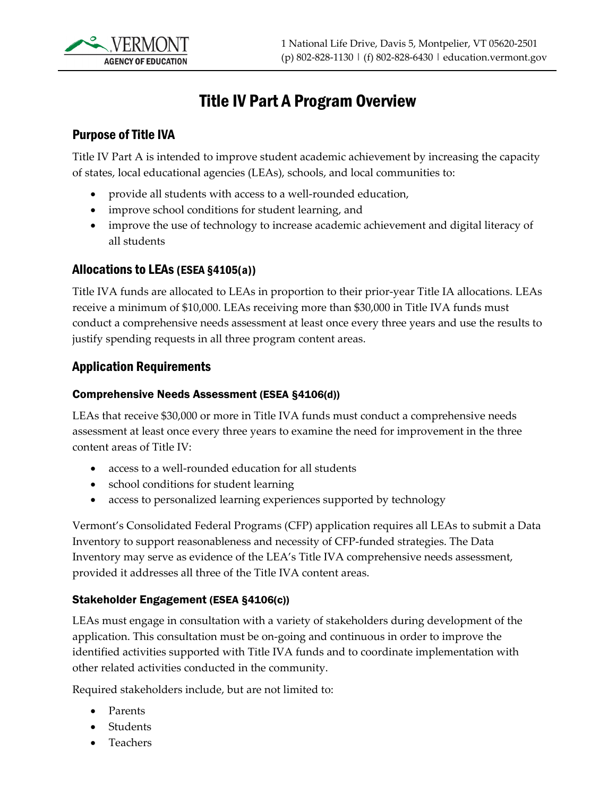

# Title IV Part A Program Overview

#### Purpose of Title IVA

Title IV Part A is intended to improve student academic achievement by increasing the capacity of states, local educational agencies (LEAs), schools, and local communities to:

- provide all students with access to a well-rounded education,
- improve school conditions for student learning, and
- improve the use of technology to increase academic achievement and digital literacy of all students

#### Allocations to LEAs (ESEA §4105(a))

Title IVA funds are allocated to LEAs in proportion to their prior-year Title IA allocations. LEAs receive a minimum of \$10,000. LEAs receiving more than \$30,000 in Title IVA funds must conduct a comprehensive needs assessment at least once every three years and use the results to justify spending requests in all three program content areas.

#### Application Requirements

#### Comprehensive Needs Assessment (ESEA §4106(d))

LEAs that receive \$30,000 or more in Title IVA funds must conduct a comprehensive needs assessment at least once every three years to examine the need for improvement in the three content areas of Title IV:

- access to a well-rounded education for all students
- school conditions for student learning
- access to personalized learning experiences supported by technology

Vermont's Consolidated Federal Programs (CFP) application requires all LEAs to submit a Data Inventory to support reasonableness and necessity of CFP-funded strategies. The Data Inventory may serve as evidence of the LEA's Title IVA comprehensive needs assessment, provided it addresses all three of the Title IVA content areas.

#### Stakeholder Engagement (ESEA §4106(c))

LEAs must engage in consultation with a variety of stakeholders during development of the application. This consultation must be on-going and continuous in order to improve the identified activities supported with Title IVA funds and to coordinate implementation with other related activities conducted in the community.

Required stakeholders include, but are not limited to:

- Parents
- Students
- Teachers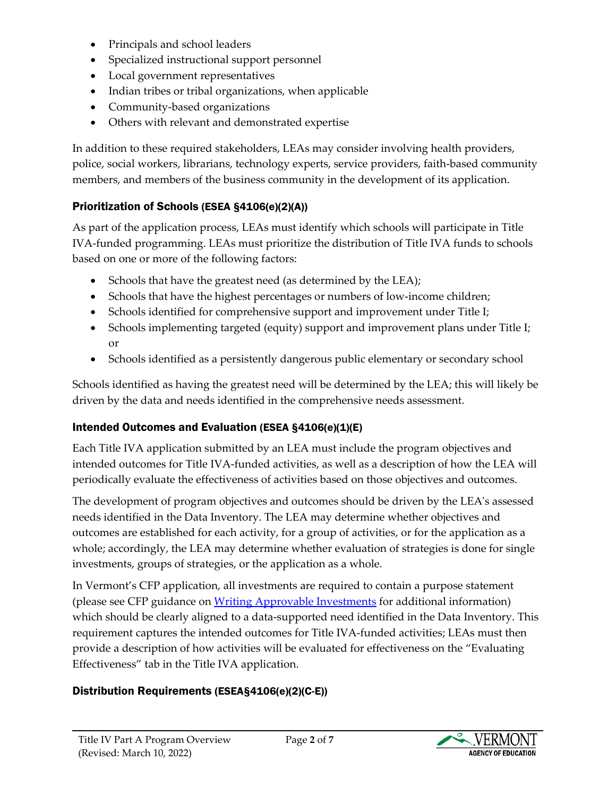- Principals and school leaders
- Specialized instructional support personnel
- Local government representatives
- Indian tribes or tribal organizations, when applicable
- Community-based organizations
- Others with relevant and demonstrated expertise

In addition to these required stakeholders, LEAs may consider involving health providers, police, social workers, librarians, technology experts, service providers, faith-based community members, and members of the business community in the development of its application.

### Prioritization of Schools (ESEA §4106(e)(2)(A))

As part of the application process, LEAs must identify which schools will participate in Title IVA-funded programming. LEAs must prioritize the distribution of Title IVA funds to schools based on one or more of the following factors:

- Schools that have the greatest need (as determined by the LEA);
- Schools that have the highest percentages or numbers of low-income children;
- Schools identified for comprehensive support and improvement under Title I;
- Schools implementing targeted (equity) support and improvement plans under Title I; or
- Schools identified as a persistently dangerous public elementary or secondary school

Schools identified as having the greatest need will be determined by the LEA; this will likely be driven by the data and needs identified in the comprehensive needs assessment.

#### Intended Outcomes and Evaluation (ESEA §4106(e)(1)(E)

Each Title IVA application submitted by an LEA must include the program objectives and intended outcomes for Title IVA-funded activities, as well as a description of how the LEA will periodically evaluate the effectiveness of activities based on those objectives and outcomes.

The development of program objectives and outcomes should be driven by the LEA's assessed needs identified in the Data Inventory. The LEA may determine whether objectives and outcomes are established for each activity, for a group of activities, or for the application as a whole; accordingly, the LEA may determine whether evaluation of strategies is done for single investments, groups of strategies, or the application as a whole.

In Vermont's CFP application, all investments are required to contain a purpose statement (please see CFP guidance on [Writing Approvable Investments](https://education.vermont.gov/documents/edu-cfp-writing-approvable-investments) for additional information) which should be clearly aligned to a data-supported need identified in the Data Inventory. This requirement captures the intended outcomes for Title IVA-funded activities; LEAs must then provide a description of how activities will be evaluated for effectiveness on the "Evaluating Effectiveness" tab in the Title IVA application.

### Distribution Requirements (ESEA§4106(e)(2)(C-E))

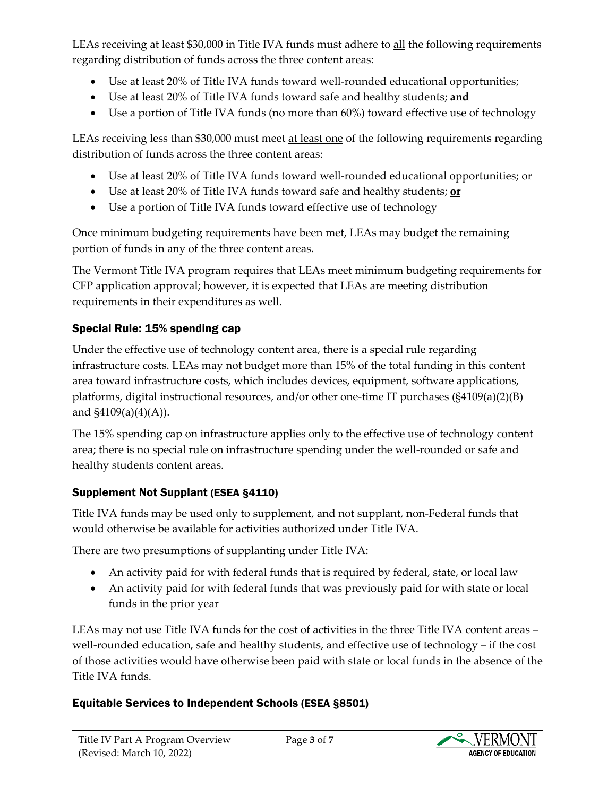LEAs receiving at least \$30,000 in Title IVA funds must adhere to all the following requirements regarding distribution of funds across the three content areas:

- Use at least 20% of Title IVA funds toward well-rounded educational opportunities;
- Use at least 20% of Title IVA funds toward safe and healthy students; **and**
- Use a portion of Title IVA funds (no more than 60%) toward effective use of technology

LEAs receiving less than \$30,000 must meet at least one of the following requirements regarding distribution of funds across the three content areas:

- Use at least 20% of Title IVA funds toward well-rounded educational opportunities; or
- Use at least 20% of Title IVA funds toward safe and healthy students; **or**
- Use a portion of Title IVA funds toward effective use of technology

Once minimum budgeting requirements have been met, LEAs may budget the remaining portion of funds in any of the three content areas.

The Vermont Title IVA program requires that LEAs meet minimum budgeting requirements for CFP application approval; however, it is expected that LEAs are meeting distribution requirements in their expenditures as well.

## Special Rule: 15% spending cap

Under the effective use of technology content area, there is a special rule regarding infrastructure costs. LEAs may not budget more than 15% of the total funding in this content area toward infrastructure costs, which includes devices, equipment, software applications, platforms, digital instructional resources, and/or other one-time IT purchases (§4109(a)(2)(B) and  $$4109(a)(4)(A)$ ).

The 15% spending cap on infrastructure applies only to the effective use of technology content area; there is no special rule on infrastructure spending under the well-rounded or safe and healthy students content areas.

## Supplement Not Supplant (ESEA §4110)

Title IVA funds may be used only to supplement, and not supplant, non-Federal funds that would otherwise be available for activities authorized under Title IVA.

There are two presumptions of supplanting under Title IVA:

- An activity paid for with federal funds that is required by federal, state, or local law
- An activity paid for with federal funds that was previously paid for with state or local funds in the prior year

LEAs may not use Title IVA funds for the cost of activities in the three Title IVA content areas – well-rounded education, safe and healthy students, and effective use of technology – if the cost of those activities would have otherwise been paid with state or local funds in the absence of the Title IVA funds.

## Equitable Services to Independent Schools (ESEA §8501)

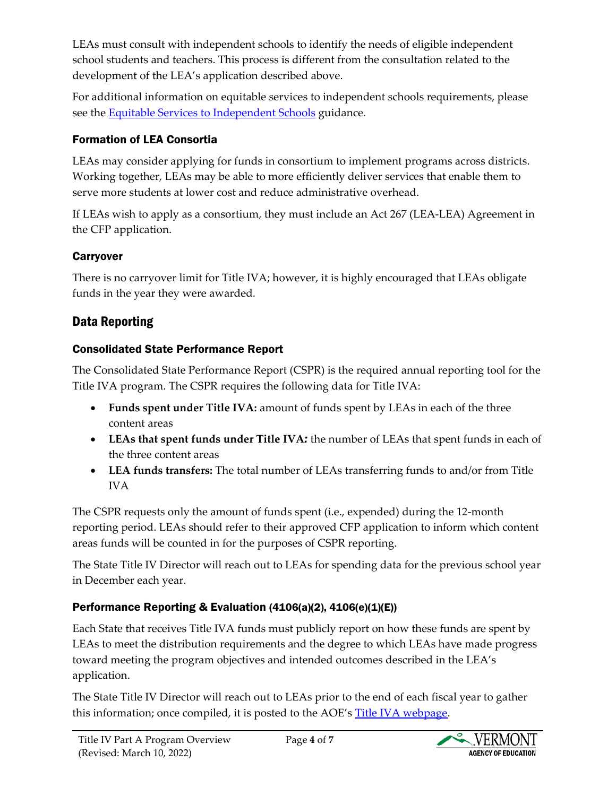LEAs must consult with independent schools to identify the needs of eligible independent school students and teachers. This process is different from the consultation related to the development of the LEA's application described above.

For additional information on equitable services to independent schools requirements, please see the [Equitable Services to Independent Schools](https://education.vermont.gov/documents/federal-programs-consolidated-equitable-services-independent-schools) guidance.

### Formation of LEA Consortia

LEAs may consider applying for funds in consortium to implement programs across districts. Working together, LEAs may be able to more efficiently deliver services that enable them to serve more students at lower cost and reduce administrative overhead.

If LEAs wish to apply as a consortium, they must include an Act 267 (LEA-LEA) Agreement in the CFP application.

#### Carryover

There is no carryover limit for Title IVA; however, it is highly encouraged that LEAs obligate funds in the year they were awarded.

## Data Reporting

#### Consolidated State Performance Report

The Consolidated State Performance Report (CSPR) is the required annual reporting tool for the Title IVA program. The CSPR requires the following data for Title IVA:

- **Funds spent under Title IVA:** amount of funds spent by LEAs in each of the three content areas
- **LEAs that spent funds under Title IVA***:* the number of LEAs that spent funds in each of the three content areas
- **LEA funds transfers:** The total number of LEAs transferring funds to and/or from Title IVA

The CSPR requests only the amount of funds spent (i.e., expended) during the 12-month reporting period. LEAs should refer to their approved CFP application to inform which content areas funds will be counted in for the purposes of CSPR reporting.

The State Title IV Director will reach out to LEAs for spending data for the previous school year in December each year.

### Performance Reporting & Evaluation (4106(a)(2), 4106(e)(1)(E))

Each State that receives Title IVA funds must publicly report on how these funds are spent by LEAs to meet the distribution requirements and the degree to which LEAs have made progress toward meeting the program objectives and intended outcomes described in the LEA's application.

The State Title IV Director will reach out to LEAs prior to the end of each fiscal year to gather this information; once compiled, it is posted to the AOE's [Title IVA webpage.](https://education.vermont.gov/student-support/federal-programs/consolidated-federal-programs/title-iva)

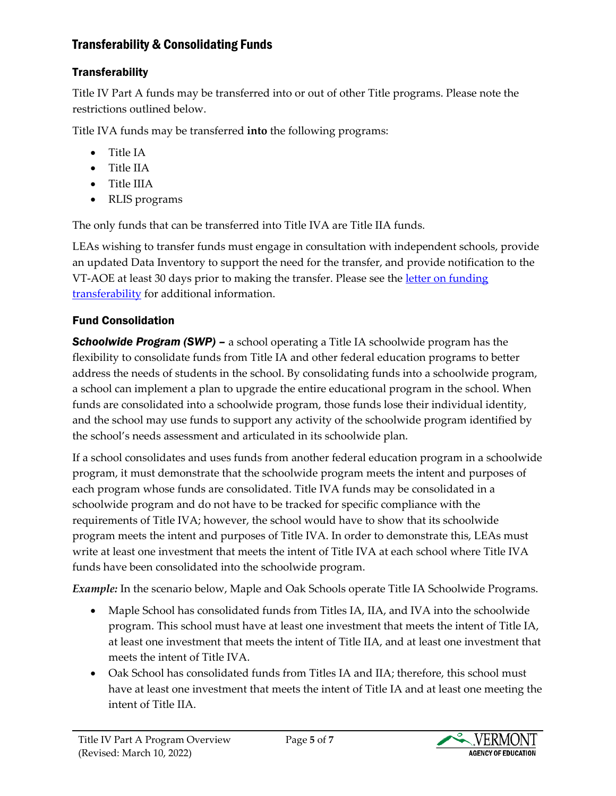### Transferability & Consolidating Funds

### **Transferability**

Title IV Part A funds may be transferred into or out of other Title programs. Please note the restrictions outlined below.

Title IVA funds may be transferred **into** the following programs:

- Title IA
- Title IIA
- Title IIIA
- RLIS programs

The only funds that can be transferred into Title IVA are Title IIA funds.

LEAs wishing to transfer funds must engage in consultation with independent schools, provide an updated Data Inventory to support the need for the transfer, and provide notification to the VT-AOE at least 30 days prior to making the transfer. Please see the letter [on funding](https://education.vermont.gov/documents/edu-cfp-transferability-of-funds-letter-09-2019)  [transferability](https://education.vermont.gov/documents/edu-cfp-transferability-of-funds-letter-09-2019) for additional information.

### Fund Consolidation

**Schoolwide Program** *(SWP)* – a school operating a Title IA schoolwide program has the flexibility to consolidate funds from Title IA and other federal education programs to better address the needs of students in the school. By consolidating funds into a schoolwide program, a school can implement a plan to upgrade the entire educational program in the school. When funds are consolidated into a schoolwide program, those funds lose their individual identity, and the school may use funds to support any activity of the schoolwide program identified by the school's needs assessment and articulated in its schoolwide plan.

If a school consolidates and uses funds from another federal education program in a schoolwide program, it must demonstrate that the schoolwide program meets the intent and purposes of each program whose funds are consolidated. Title IVA funds may be consolidated in a schoolwide program and do not have to be tracked for specific compliance with the requirements of Title IVA; however, the school would have to show that its schoolwide program meets the intent and purposes of Title IVA. In order to demonstrate this, LEAs must write at least one investment that meets the intent of Title IVA at each school where Title IVA funds have been consolidated into the schoolwide program.

*Example:* In the scenario below, Maple and Oak Schools operate Title IA Schoolwide Programs.

- Maple School has consolidated funds from Titles IA, IIA, and IVA into the schoolwide program. This school must have at least one investment that meets the intent of Title IA, at least one investment that meets the intent of Title IIA, and at least one investment that meets the intent of Title IVA.
- Oak School has consolidated funds from Titles IA and IIA; therefore, this school must have at least one investment that meets the intent of Title IA and at least one meeting the intent of Title IIA.

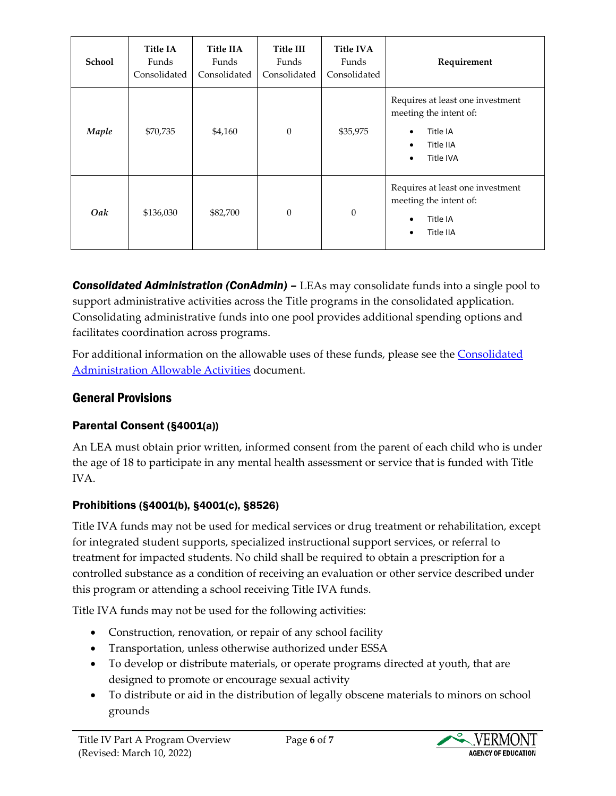| School | <b>Title IA</b><br>Funds<br>Consolidated | <b>Title IIA</b><br>Funds<br>Consolidated | <b>Title III</b><br>Funds<br>Consolidated | <b>Title IVA</b><br>Funds<br>Consolidated | Requirement                                                                                                             |
|--------|------------------------------------------|-------------------------------------------|-------------------------------------------|-------------------------------------------|-------------------------------------------------------------------------------------------------------------------------|
| Maple  | \$70,735                                 | \$4,160                                   | $\mathbf{0}$                              | \$35,975                                  | Requires at least one investment<br>meeting the intent of:<br>Title IA<br>Ċ<br>Title IIA<br>$\bullet$<br>Title IVA<br>٠ |
| Oak    | \$136,030                                | \$82,700                                  | $\mathbf{0}$                              | $\boldsymbol{0}$                          | Requires at least one investment<br>meeting the intent of:<br>Title IA<br>٥<br>Title IIA<br>٠                           |

*Consolidated Administration (ConAdmin) –* LEAs may consolidate funds into a single pool to support administrative activities across the Title programs in the consolidated application. Consolidating administrative funds into one pool provides additional spending options and facilitates coordination across programs.

For additional information on the allowable uses of these funds, please see the [Consolidated](https://education.vermont.gov/documents/federal-programs-consolidated-allowable-activities)  [Administration Allowable Activities](https://education.vermont.gov/documents/federal-programs-consolidated-allowable-activities) document.

## General Provisions

### Parental Consent (§4001(a))

An LEA must obtain prior written, informed consent from the parent of each child who is under the age of 18 to participate in any mental health assessment or service that is funded with Title IVA.

#### Prohibitions (§4001(b), §4001(c), §8526)

Title IVA funds may not be used for medical services or drug treatment or rehabilitation, except for integrated student supports, specialized instructional support services, or referral to treatment for impacted students. No child shall be required to obtain a prescription for a controlled substance as a condition of receiving an evaluation or other service described under this program or attending a school receiving Title IVA funds.

Title IVA funds may not be used for the following activities:

- Construction, renovation, or repair of any school facility
- Transportation, unless otherwise authorized under ESSA
- To develop or distribute materials, or operate programs directed at youth, that are designed to promote or encourage sexual activity
- To distribute or aid in the distribution of legally obscene materials to minors on school grounds